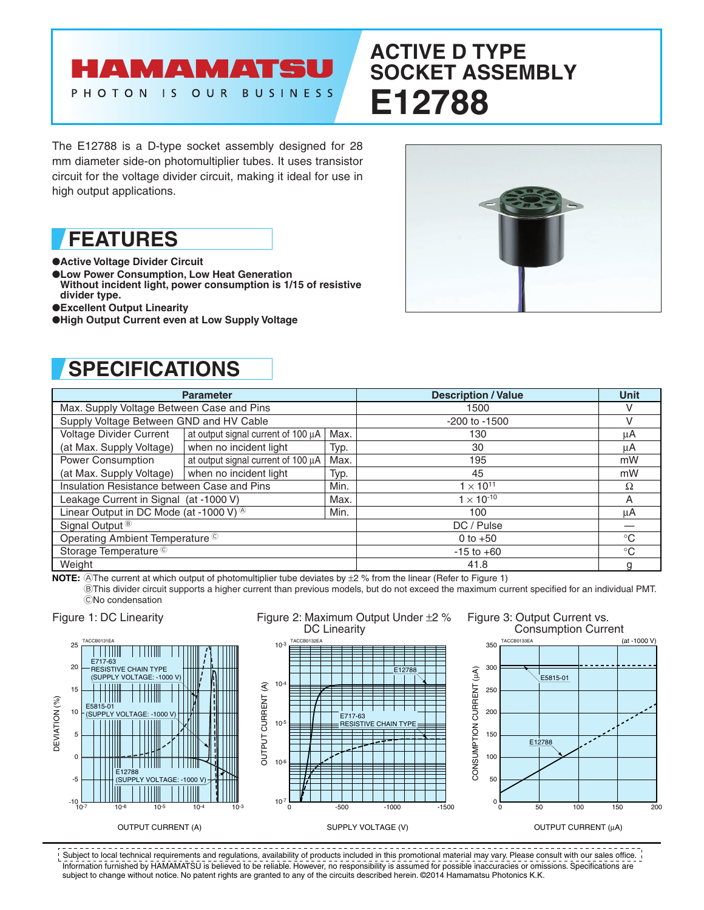### HAMAMATSU OUR PHOTON IS **BUSINESS**

# **ACTIVE D TYPE SOCKET ASSEMBLY E12788**

The E12788 is a D-type socket assembly designed for 28 mm diameter side-on photomultiplier tubes. It uses transistor circuit for the voltage divider circuit, making it ideal for use in high output applications.

# **FEATURES**

## ●**Active Voltage Divider Circuit**

- ●**Low Power Consumption, Low Heat Generation**
- **Without incident light, power consumption is 1/15 of resistive divider type.**
- ●**Excellent Output Linearity**
- ●**High Output Current even at Low Supply Voltage**



# **SPECIFICATIONS**

| <b>Parameter</b>                                   |                                    |      | <b>Description / Value</b> | <b>Unit</b> |
|----------------------------------------------------|------------------------------------|------|----------------------------|-------------|
| Max. Supply Voltage Between Case and Pins          |                                    |      | 1500                       |             |
| Supply Voltage Between GND and HV Cable            |                                    |      | $-200$ to $-1500$          | $\vee$      |
| Voltage Divider Current                            | at output signal current of 100 µA | Max. | 130                        | μA          |
| (at Max. Supply Voltage)                           | when no incident light             | Typ. | 30                         | μA          |
| <b>Power Consumption</b>                           | at output signal current of 100 µA | Max. | 195                        | mW          |
| (at Max. Supply Voltage)                           | when no incident light             | Typ. | 45                         | mW          |
| Insulation Resistance between Case and Pins        |                                    | Min. | $1 \times 10^{11}$         | Ω           |
| Leakage Current in Signal (at -1000 V)             |                                    | Max. | $1 \times 10^{-10}$        | A           |
| Linear Output in DC Mode (at -1000 V) <sup>®</sup> |                                    | Min. | 100                        | μA          |
| Signal Output <sup>®</sup>                         |                                    |      | DC / Pulse                 |             |
| Operating Ambient Temperature <sup>C</sup>         |                                    |      | 0 to $+50$                 | $^{\circ}C$ |
| Storage Temperature <sup>C</sup>                   |                                    |      | $-15$ to $+60$             | $^{\circ}C$ |
| Weight                                             |                                    |      | 41.8                       |             |

**NOTE:** AThe current at which output of photomultiplier tube deviates by  $\pm 2$  % from the linear (Refer to Figure 1)

BThis divider circuit supports a higher current than previous models, but do not exceed the maximum current specified for an individual PMT. CNo condensation

Figure 2: Maximum Output Under ±2 %











Figure 3: Output Current vs.



OUTPUT CURRENT (µA)

Information furnished by HAMAMATSU is believed to be reliable. However, no responsibility is assumed for possible inaccuracies or omissions. Specifications are subject to change without notice. No patent rights are granted to any of the circuits described herein. ©2014 Hamamatsu Photonics K.K. Subject to local technical requirements and regulations, availability of products included in this promotional material may vary. Please consult with our sales office.